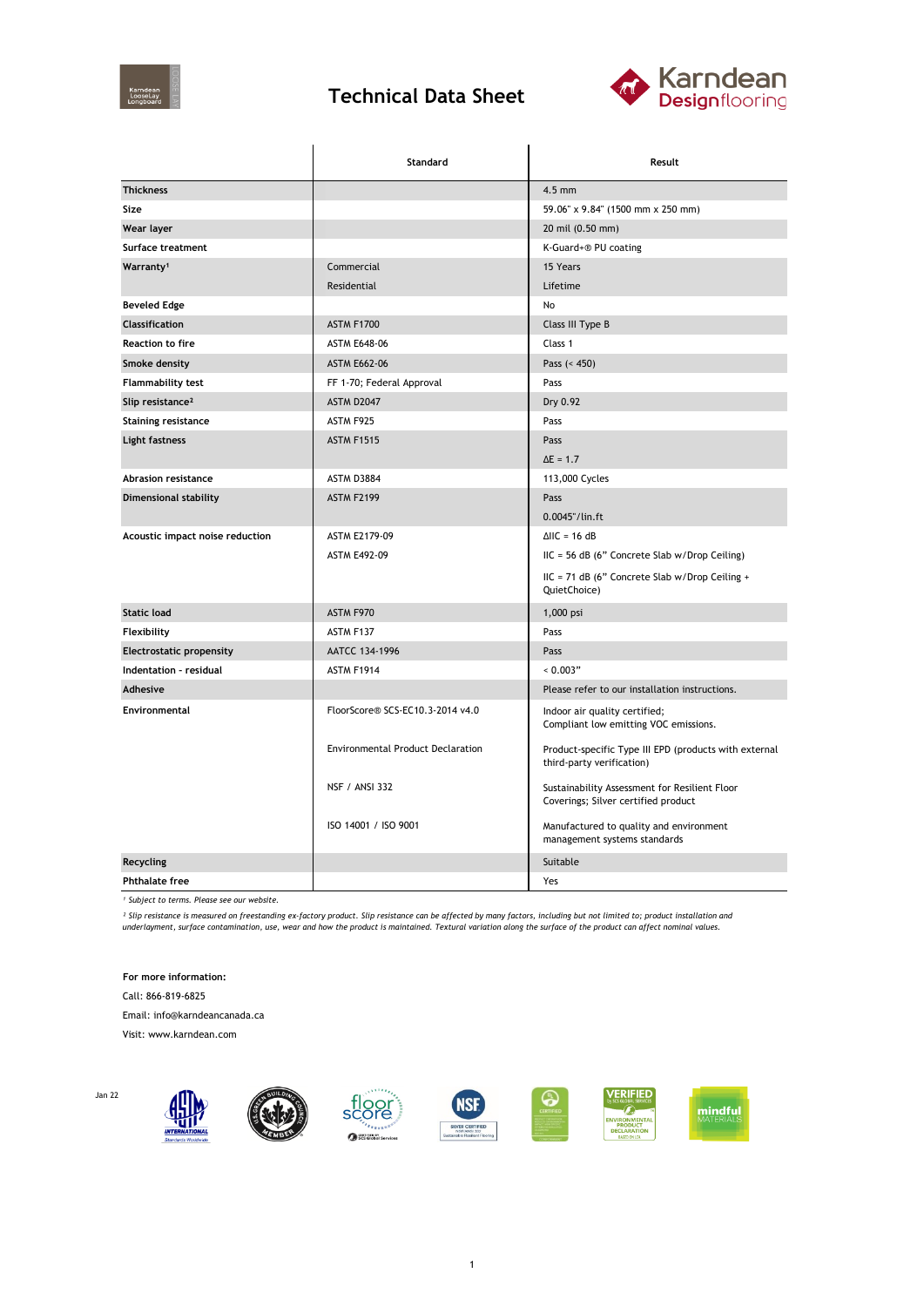

## **Technical Data Sheet**



|                                 | Standard                                 | Result                                                                               |  |
|---------------------------------|------------------------------------------|--------------------------------------------------------------------------------------|--|
| <b>Thickness</b>                |                                          | $4.5$ mm                                                                             |  |
| Size                            |                                          | 59.06" x 9.84" (1500 mm x 250 mm)                                                    |  |
| Wear layer                      |                                          | 20 mil (0.50 mm)                                                                     |  |
| Surface treatment               |                                          | K-Guard+® PU coating                                                                 |  |
| Warranty <sup>1</sup>           | Commercial                               | 15 Years                                                                             |  |
|                                 | Residential                              | Lifetime                                                                             |  |
| <b>Beveled Edge</b>             |                                          | No                                                                                   |  |
| Classification                  | ASTM F1700                               | Class III Type B                                                                     |  |
| <b>Reaction to fire</b>         | <b>ASTM E648-06</b>                      | Class 1                                                                              |  |
| Smoke density                   | <b>ASTM E662-06</b>                      | Pass $(< 450)$                                                                       |  |
| Flammability test               | FF 1-70; Federal Approval                | Pass                                                                                 |  |
| Slip resistance <sup>2</sup>    | ASTM D2047                               | Dry 0.92                                                                             |  |
| <b>Staining resistance</b>      | ASTM F925                                | Pass                                                                                 |  |
| Light fastness                  | <b>ASTM F1515</b>                        | Pass                                                                                 |  |
|                                 |                                          | $\Delta E = 1.7$                                                                     |  |
| <b>Abrasion resistance</b>      | <b>ASTM D3884</b>                        | 113,000 Cycles                                                                       |  |
| Dimensional stability           | <b>ASTM F2199</b>                        | Pass                                                                                 |  |
|                                 |                                          | 0.0045"/lin.ft                                                                       |  |
| Acoustic impact noise reduction | ASTM E2179-09                            | $\triangle$ IIC = 16 dB                                                              |  |
|                                 | <b>ASTM E492-09</b>                      | $HC = 56 dB$ (6" Concrete Slab w/Drop Ceiling)                                       |  |
|                                 |                                          | IIC = 71 dB (6" Concrete Slab w/Drop Ceiling +<br>QuietChoice)                       |  |
| <b>Static load</b>              | ASTM F970                                | 1,000 psi                                                                            |  |
| Flexibility                     | ASTM F137                                | Pass                                                                                 |  |
| <b>Electrostatic propensity</b> | AATCC 134-1996                           | Pass                                                                                 |  |
| Indentation - residual          | ASTM F1914                               | 0.003"                                                                               |  |
| Adhesive                        |                                          | Please refer to our installation instructions.                                       |  |
| Environmental                   | FloorScore® SCS-EC10.3-2014 v4.0         | Indoor air quality certified;<br>Compliant low emitting VOC emissions.               |  |
|                                 | <b>Environmental Product Declaration</b> | Product-specific Type III EPD (products with external<br>third-party verification)   |  |
|                                 | <b>NSF / ANSI 332</b>                    | Sustainability Assessment for Resilient Floor<br>Coverings; Silver certified product |  |
|                                 | ISO 14001 / ISO 9001                     | Manufactured to quality and environment<br>management systems standards              |  |
| <b>Recycling</b>                |                                          | Suitable                                                                             |  |
| <b>Phthalate free</b>           |                                          | Yes                                                                                  |  |

*¹ Subject to terms. Please see our website.*

<sup>2</sup> Slip resistance is measured on freestanding ex-factory product. Slip resistance can be affected by many factors, including but not limited to; product installation and<br>underlayment, surface contamination, use, wear and

**For more information:**

Call: 866-819-6825

Email: info@karndeancanada.ca

Visit: www.karndean.com